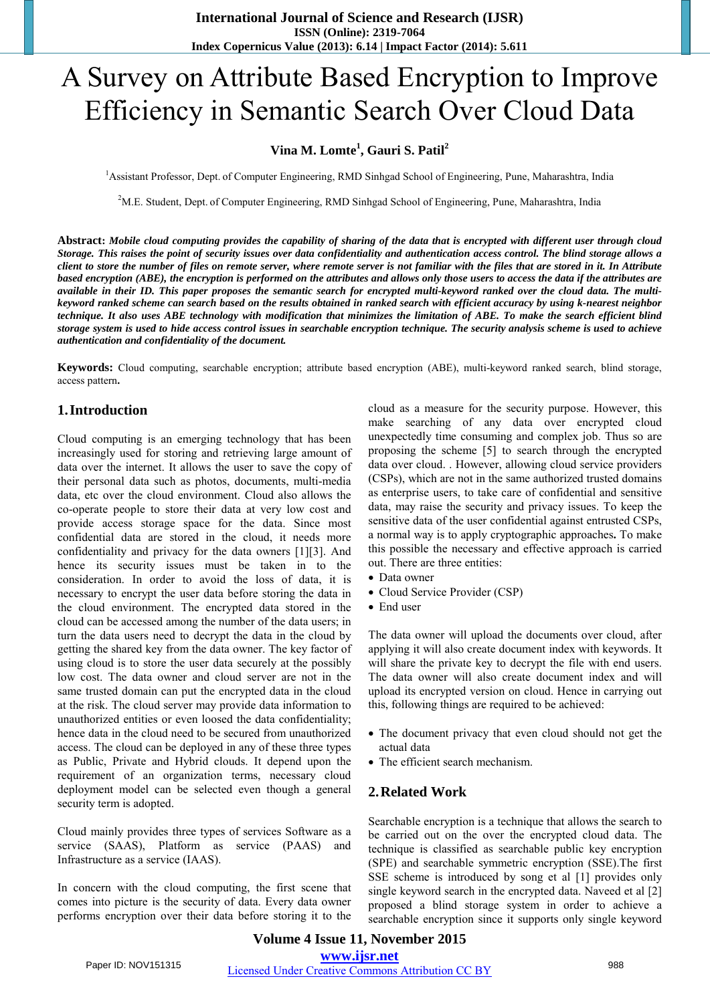# A Survey on Attribute Based Encryption to Improve Efficiency in Semantic Search Over Cloud Data

# **Vina M. Lomte<sup>1</sup> , Gauri S. Patil<sup>2</sup>**

<sup>1</sup>Assistant Professor, Dept. of Computer Engineering, RMD Sinhgad School of Engineering, Pune, Maharashtra, India

<sup>2</sup>M.E. Student, Dept. of Computer Engineering, RMD Sinhgad School of Engineering, Pune, Maharashtra, India

Abstract: Mobile cloud computing provides the capability of sharing of the data that is encrypted with different user through cloud Storage. This raises the point of security issues over data confidentiality and authentication access control. The blind storage allows a client to store the number of files on remote server, where remote server is not familiar with the files that are stored in it. In Attribute based encryption (ABE), the encryption is performed on the attributes and allows only those users to access the data if the attributes are available in their ID. This paper proposes the semantic search for encrypted multi-keyword ranked over the cloud data. The multikeyword ranked scheme can search based on the results obtained in ranked search with efficient accuracy by using k-nearest neighbor technique. It also uses ABE technology with modification that minimizes the limitation of ABE. To make the search efficient blind storage system is used to hide access control issues in searchable encryption technique. The security analysis scheme is used to achieve *authentication and confidentiality of the document.*

**Keywords:** Cloud computing, searchable encryption; attribute based encryption (ABE), multi-keyword ranked search, blind storage, access pattern**.** 

## **1.Introduction**

Cloud computing is an emerging technology that has been increasingly used for storing and retrieving large amount of data over the internet. It allows the user to save the copy of their personal data such as photos, documents, multi-media data, etc over the cloud environment. Cloud also allows the co-operate people to store their data at very low cost and provide access storage space for the data. Since most confidential data are stored in the cloud, it needs more confidentiality and privacy for the data owners [1][3]. And hence its security issues must be taken in to the consideration. In order to avoid the loss of data, it is necessary to encrypt the user data before storing the data in the cloud environment. The encrypted data stored in the cloud can be accessed among the number of the data users; in turn the data users need to decrypt the data in the cloud by getting the shared key from the data owner. The key factor of using cloud is to store the user data securely at the possibly low cost. The data owner and cloud server are not in the same trusted domain can put the encrypted data in the cloud at the risk. The cloud server may provide data information to unauthorized entities or even loosed the data confidentiality; hence data in the cloud need to be secured from unauthorized access. The cloud can be deployed in any of these three types as Public, Private and Hybrid clouds. It depend upon the requirement of an organization terms, necessary cloud deployment model can be selected even though a general security term is adopted.

Cloud mainly provides three types of services Software as a service (SAAS), Platform as service (PAAS) and Infrastructure as a service (IAAS).

In concern with the cloud computing, the first scene that comes into picture is the security of data. Every data owner performs encryption over their data before storing it to the cloud as a measure for the security purpose. However, this make searching of any data over encrypted cloud unexpectedly time consuming and complex job. Thus so are proposing the scheme [5] to search through the encrypted data over cloud. . However, allowing cloud service providers (CSPs), which are not in the same authorized trusted domains as enterprise users, to take care of confidential and sensitive data, may raise the security and privacy issues. To keep the sensitive data of the user confidential against entrusted CSPs, a normal way is to apply cryptographic approaches**.** To make this possible the necessary and effective approach is carried out. There are three entities:

- Data owner
- Cloud Service Provider (CSP)
- End user

The data owner will upload the documents over cloud, after applying it will also create document index with keywords. It will share the private key to decrypt the file with end users. The data owner will also create document index and will upload its encrypted version on cloud. Hence in carrying out this, following things are required to be achieved:

- The document privacy that even cloud should not get the actual data
- The efficient search mechanism.

#### **2.Related Work**

Searchable encryption is a technique that allows the search to be carried out on the over the encrypted cloud data. The technique is classified as searchable public key encryption (SPE) and searchable symmetric encryption (SSE).The first SSE scheme is introduced by song et al [1] provides only single keyword search in the encrypted data. Naveed et al [2] proposed a blind storage system in order to achieve a searchable encryption since it supports only single keyword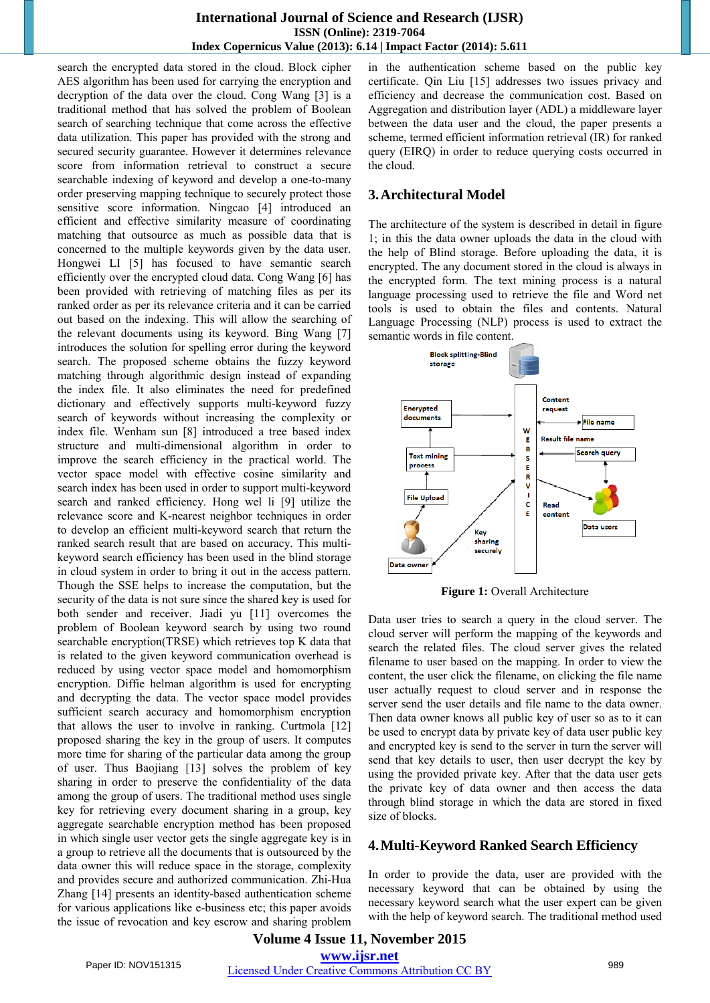# **International Journal of Science and Research (IJSR) ISSN (Online): 2319-7064 Index Copernicus Value (2013): 6.14 | Impact Factor (2014): 5.611**

search the encrypted data stored in the cloud. Block cipher AES algorithm has been used for carrying the encryption and decryption of the data over the cloud. Cong Wang [3] is a traditional method that has solved the problem of Boolean search of searching technique that come across the effective data utilization. This paper has provided with the strong and secured security guarantee. However it determines relevance score from information retrieval to construct a secure searchable indexing of keyword and develop a one-to-many order preserving mapping technique to securely protect those sensitive score information. Ningcao [4] introduced an efficient and effective similarity measure of coordinating matching that outsource as much as possible data that is concerned to the multiple keywords given by the data user. Hongwei LI [5] has focused to have semantic search efficiently over the encrypted cloud data. Cong Wang [6] has been provided with retrieving of matching files as per its ranked order as per its relevance criteria and it can be carried out based on the indexing. This will allow the searching of the relevant documents using its keyword. Bing Wang [7] introduces the solution for spelling error during the keyword search. The proposed scheme obtains the fuzzy keyword matching through algorithmic design instead of expanding the index file. It also eliminates the need for predefined dictionary and effectively supports multi-keyword fuzzy search of keywords without increasing the complexity or index file. Wenham sun [8] introduced a tree based index structure and multi-dimensional algorithm in order to improve the search efficiency in the practical world. The vector space model with effective cosine similarity and search index has been used in order to support multi-keyword search and ranked efficiency. Hong wel li [9] utilize the relevance score and K-nearest neighbor techniques in order to develop an efficient multi-keyword search that return the ranked search result that are based on accuracy. This multikeyword search efficiency has been used in the blind storage in cloud system in order to bring it out in the access pattern. Though the SSE helps to increase the computation, but the security of the data is not sure since the shared key is used for both sender and receiver. Jiadi yu [11] overcomes the problem of Boolean keyword search by using two round searchable encryption(TRSE) which retrieves top K data that is related to the given keyword communication overhead is reduced by using vector space model and homomorphism encryption. Diffie helman algorithm is used for encrypting and decrypting the data. The vector space model provides sufficient search accuracy and homomorphism encryption that allows the user to involve in ranking. Curtmola [12] proposed sharing the key in the group of users. It computes more time for sharing of the particular data among the group of user. Thus Baojiang [13] solves the problem of key sharing in order to preserve the confidentiality of the data among the group of users. The traditional method uses single key for retrieving every document sharing in a group, key aggregate searchable encryption method has been proposed in which single user vector gets the single aggregate key is in a group to retrieve all the documents that is outsourced by the data owner this will reduce space in the storage, complexity and provides secure and authorized communication. Zhi-Hua Zhang [14] presents an identity-based authentication scheme for various applications like e-business etc; this paper avoids the issue of revocation and key escrow and sharing problem

in the authentication scheme based on the public key certificate. Qin Liu [15] addresses two issues privacy and efficiency and decrease the communication cost. Based on Aggregation and distribution layer (ADL) a middleware layer between the data user and the cloud, the paper presents a scheme, termed efficient information retrieval (IR) for ranked query (EIRQ) in order to reduce querying costs occurred in the cloud.

#### **3.Architectural Model**

The architecture of the system is described in detail in figure 1; in this the data owner uploads the data in the cloud with the help of Blind storage. Before uploading the data, it is encrypted. The any document stored in the cloud is always in the encrypted form. The text mining process is a natural language processing used to retrieve the file and Word net tools is used to obtain the files and contents. Natural Language Processing (NLP) process is used to extract the semantic words in file content.



**Figure 1:** Overall Architecture

Data user tries to search a query in the cloud server. The cloud server will perform the mapping of the keywords and search the related files. The cloud server gives the related filename to user based on the mapping. In order to view the content, the user click the filename, on clicking the file name user actually request to cloud server and in response the server send the user details and file name to the data owner. Then data owner knows all public key of user so as to it can be used to encrypt data by private key of data user public key and encrypted key is send to the server in turn the server will send that key details to user, then user decrypt the key by using the provided private key. After that the data user gets the private key of data owner and then access the data through blind storage in which the data are stored in fixed size of blocks.

#### **4.Multi-Keyword Ranked Search Efficiency**

In order to provide the data, user are provided with the necessary keyword that can be obtained by using the necessary keyword search what the user expert can be given with the help of keyword search. The traditional method used

# **Volume 4 Issue 11, November 2015 www.ijsr.net** Paper ID: NOV151315 Licensed Under Creative Commons Attribution CC BY 989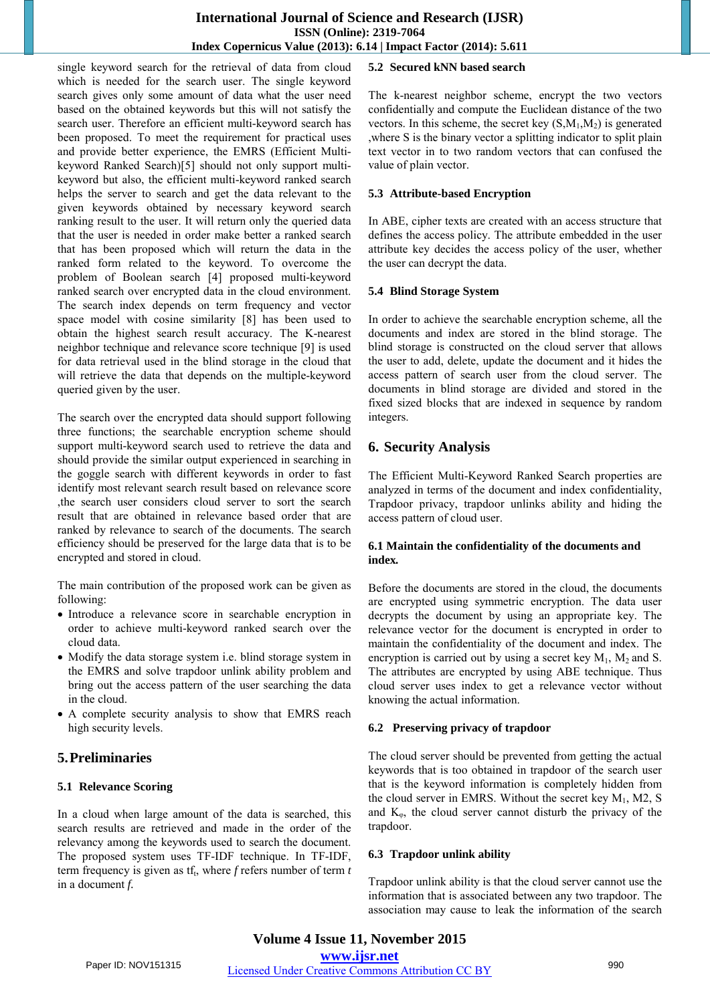# **International Journal of Science and Research (IJSR) ISSN (Online): 2319-7064 Index Copernicus Value (2013): 6.14 | Impact Factor (2014): 5.611**

single keyword search for the retrieval of data from cloud which is needed for the search user. The single keyword search gives only some amount of data what the user need based on the obtained keywords but this will not satisfy the search user. Therefore an efficient multi-keyword search has been proposed. To meet the requirement for practical uses and provide better experience, the EMRS (Efficient Multikeyword Ranked Search)[5] should not only support multikeyword but also, the efficient multi-keyword ranked search helps the server to search and get the data relevant to the given keywords obtained by necessary keyword search ranking result to the user. It will return only the queried data that the user is needed in order make better a ranked search that has been proposed which will return the data in the ranked form related to the keyword. To overcome the problem of Boolean search [4] proposed multi-keyword ranked search over encrypted data in the cloud environment. The search index depends on term frequency and vector space model with cosine similarity [8] has been used to obtain the highest search result accuracy. The K-nearest neighbor technique and relevance score technique [9] is used for data retrieval used in the blind storage in the cloud that will retrieve the data that depends on the multiple-keyword queried given by the user.

The search over the encrypted data should support following three functions; the searchable encryption scheme should support multi-keyword search used to retrieve the data and should provide the similar output experienced in searching in the goggle search with different keywords in order to fast identify most relevant search result based on relevance score ,the search user considers cloud server to sort the search result that are obtained in relevance based order that are ranked by relevance to search of the documents. The search efficiency should be preserved for the large data that is to be encrypted and stored in cloud.

The main contribution of the proposed work can be given as following:

- Introduce a relevance score in searchable encryption in order to achieve multi-keyword ranked search over the cloud data.
- Modify the data storage system i.e. blind storage system in the EMRS and solve trapdoor unlink ability problem and bring out the access pattern of the user searching the data in the cloud.
- A complete security analysis to show that EMRS reach high security levels.

# **5.Preliminaries**

# **5.1 Relevance Scoring**

In a cloud when large amount of the data is searched, this search results are retrieved and made in the order of the relevancy among the keywords used to search the document. The proposed system uses TF-IDF technique. In TF-IDF, term frequency is given as tf<sub>t</sub>, where *f* refers number of term *t* in a document *f.*

# **5.2 Secured kNN based search**

The k-nearest neighbor scheme, encrypt the two vectors confidentially and compute the Euclidean distance of the two vectors. In this scheme, the secret key  $(S, M_1, M_2)$  is generated ,where S is the binary vector a splitting indicator to split plain text vector in to two random vectors that can confused the value of plain vector.

#### **5.3 Attribute-based Encryption**

In ABE, cipher texts are created with an access structure that defines the access policy. The attribute embedded in the user attribute key decides the access policy of the user, whether the user can decrypt the data.

#### **5.4 Blind Storage System**

In order to achieve the searchable encryption scheme, all the documents and index are stored in the blind storage. The blind storage is constructed on the cloud server that allows the user to add, delete, update the document and it hides the access pattern of search user from the cloud server. The documents in blind storage are divided and stored in the fixed sized blocks that are indexed in sequence by random integers.

# **6. Security Analysis**

The Efficient Multi-Keyword Ranked Search properties are analyzed in terms of the document and index confidentiality, Trapdoor privacy, trapdoor unlinks ability and hiding the access pattern of cloud user.

#### **6.1 Maintain the confidentiality of the documents and index***.*

Before the documents are stored in the cloud, the documents are encrypted using symmetric encryption. The data user decrypts the document by using an appropriate key. The relevance vector for the document is encrypted in order to maintain the confidentiality of the document and index. The encryption is carried out by using a secret key  $M_1$ ,  $M_2$  and S. The attributes are encrypted by using ABE technique. Thus cloud server uses index to get a relevance vector without knowing the actual information.

# **6.2 Preserving privacy of trapdoor**

The cloud server should be prevented from getting the actual keywords that is too obtained in trapdoor of the search user that is the keyword information is completely hidden from the cloud server in EMRS. Without the secret key  $M_1$ , M2, S and  $K_{\varphi}$ , the cloud server cannot disturb the privacy of the trapdoor.

#### **6.3 Trapdoor unlink ability**

Trapdoor unlink ability is that the cloud server cannot use the information that is associated between any two trapdoor. The association may cause to leak the information of the search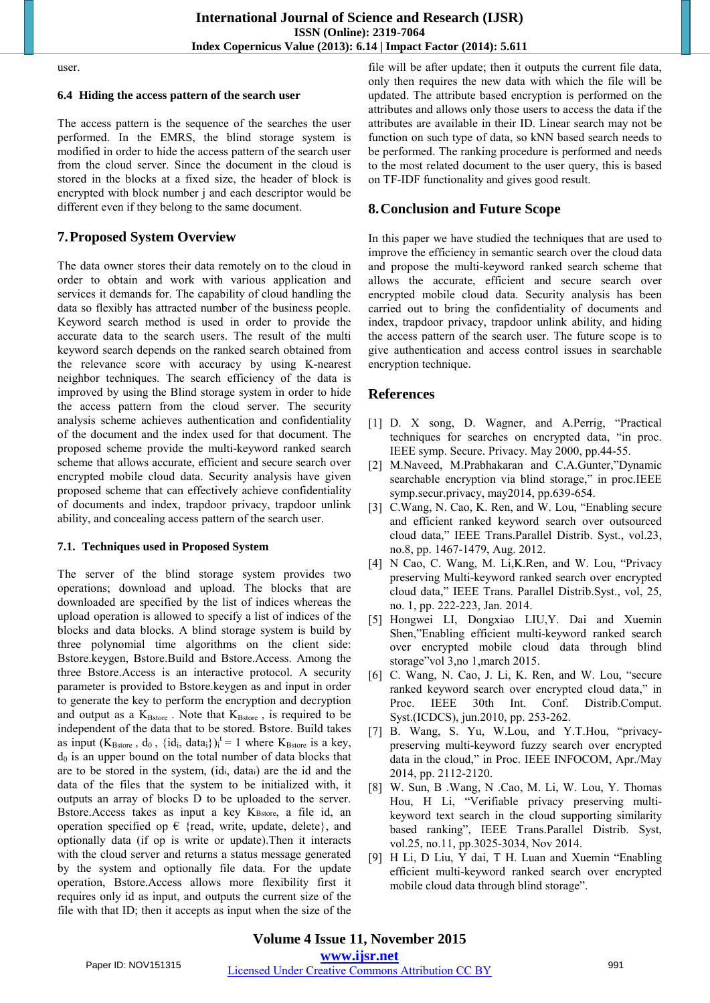user.

#### **6.4 Hiding the access pattern of the search user**

The access pattern is the sequence of the searches the user performed. In the EMRS, the blind storage system is modified in order to hide the access pattern of the search user from the cloud server. Since the document in the cloud is stored in the blocks at a fixed size, the header of block is encrypted with block number j and each descriptor would be different even if they belong to the same document.

# **7.Proposed System Overview**

The data owner stores their data remotely on to the cloud in order to obtain and work with various application and services it demands for. The capability of cloud handling the data so flexibly has attracted number of the business people. Keyword search method is used in order to provide the accurate data to the search users. The result of the multi keyword search depends on the ranked search obtained from the relevance score with accuracy by using K-nearest neighbor techniques. The search efficiency of the data is improved by using the Blind storage system in order to hide the access pattern from the cloud server. The security analysis scheme achieves authentication and confidentiality of the document and the index used for that document. The proposed scheme provide the multi-keyword ranked search scheme that allows accurate, efficient and secure search over encrypted mobile cloud data. Security analysis have given proposed scheme that can effectively achieve confidentiality of documents and index, trapdoor privacy, trapdoor unlink ability, and concealing access pattern of the search user.

#### **7.1. Techniques used in Proposed System**

The server of the blind storage system provides two operations; download and upload. The blocks that are downloaded are specified by the list of indices whereas the upload operation is allowed to specify a list of indices of the blocks and data blocks. A blind storage system is build by three polynomial time algorithms on the client side: Bstore.keygen, Bstore.Build and Bstore.Access. Among the three Bstore.Access is an interactive protocol. A security parameter is provided to Bstore.keygen as and input in order to generate the key to perform the encryption and decryption and output as a  $K_{\text{Bstore}}$  . Note that  $K_{\text{Bstore}}$  , is required to be independent of the data that to be stored. Bstore. Build takes as input  $(K_{Bstore}$ ,  $d_0$ ,  $\{id_i, data_i\}\)$ <sub>i</sub><sup>t</sup> = 1 where  $K_{Bstore}$  is a key,  $d_0$  is an upper bound on the total number of data blocks that are to be stored in the system, (idi, datai) are the id and the data of the files that the system to be initialized with, it outputs an array of blocks D to be uploaded to the server. Bstore.Access takes as input a key KBstore, a file id, an operation specified op  $\epsilon$  {read, write, update, delete}, and optionally data (if op is write or update).Then it interacts with the cloud server and returns a status message generated by the system and optionally file data. For the update operation, Bstore.Access allows more flexibility first it requires only id as input, and outputs the current size of the file with that ID; then it accepts as input when the size of the

file will be after update; then it outputs the current file data, only then requires the new data with which the file will be updated. The attribute based encryption is performed on the attributes and allows only those users to access the data if the attributes are available in their ID. Linear search may not be function on such type of data, so kNN based search needs to be performed. The ranking procedure is performed and needs to the most related document to the user query, this is based on TF-IDF functionality and gives good result.

## **8.Conclusion and Future Scope**

In this paper we have studied the techniques that are used to improve the efficiency in semantic search over the cloud data and propose the multi-keyword ranked search scheme that allows the accurate, efficient and secure search over encrypted mobile cloud data. Security analysis has been carried out to bring the confidentiality of documents and index, trapdoor privacy, trapdoor unlink ability, and hiding the access pattern of the search user. The future scope is to give authentication and access control issues in searchable encryption technique.

# **References**

- [1] D. X song, D. Wagner, and A.Perrig, "Practical techniques for searches on encrypted data, "in proc. IEEE symp. Secure. Privacy. May 2000, pp.44-55.
- [2] M.Naveed, M.Prabhakaran and C.A.Gunter,"Dynamic searchable encryption via blind storage," in proc.IEEE symp.secur.privacy, may2014, pp.639-654.
- [3] C.Wang, N. Cao, K. Ren, and W. Lou, "Enabling secure and efficient ranked keyword search over outsourced cloud data," IEEE Trans.Parallel Distrib. Syst., vol.23, no.8, pp. 1467-1479, Aug. 2012.
- [4] N Cao, C. Wang, M. Li, K.Ren, and W. Lou, "Privacy preserving Multi-keyword ranked search over encrypted cloud data," IEEE Trans. Parallel Distrib.Syst., vol, 25, no. 1, pp. 222-223, Jan. 2014.
- [5] Hongwei LI, Dongxiao LIU,Y. Dai and Xuemin Shen,"Enabling efficient multi-keyword ranked search over encrypted mobile cloud data through blind storage"vol 3,no 1,march 2015.
- [6] C. Wang, N. Cao, J. Li, K. Ren, and W. Lou, "secure ranked keyword search over encrypted cloud data," in Proc. IEEE 30th Int. Conf. Distrib.Comput. Syst.(ICDCS), jun.2010, pp. 253-262.
- [7] B. Wang, S. Yu, W.Lou, and Y.T.Hou, "privacypreserving multi-keyword fuzzy search over encrypted data in the cloud," in Proc. IEEE INFOCOM, Apr./May 2014, pp. 2112-2120.
- [8] W. Sun, B .Wang, N .Cao, M. Li, W. Lou, Y. Thomas Hou, H Li, "Verifiable privacy preserving multikeyword text search in the cloud supporting similarity based ranking", IEEE Trans.Parallel Distrib. Syst, vol.25, no.11, pp.3025-3034, Nov 2014.
- [9] H Li, D Liu, Y dai, T H. Luan and Xuemin "Enabling efficient multi-keyword ranked search over encrypted mobile cloud data through blind storage".